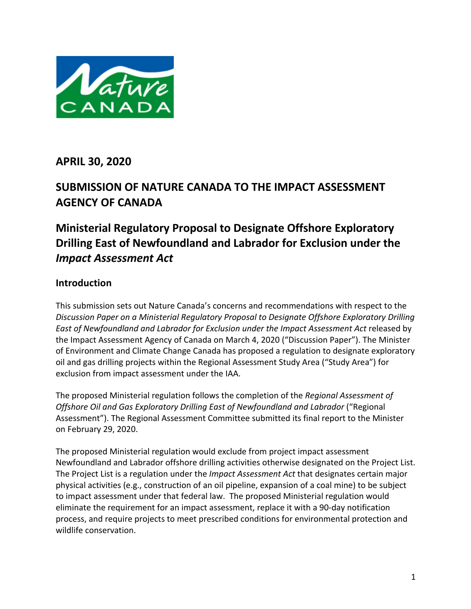

**APRIL 30, 2020**

# **SUBMISSION OF NATURE CANADA TO THE IMPACT ASSESSMENT AGENCY OF CANADA**

# **Ministerial Regulatory Proposal to Designate Offshore Exploratory Drilling East of Newfoundland and Labrador for Exclusion under the**  *Impact Assessment Act*

# **Introduction**

This submission sets out Nature Canada's concerns and recommendations with respect to the *Discussion Paper on a Ministerial Regulatory Proposal to Designate Offshore Exploratory Drilling*  East of Newfoundland and Labrador for Exclusion under the Impact Assessment Act released by the Impact Assessment Agency of Canada on March 4, 2020 ("Discussion Paper"). The Minister of Environment and Climate Change Canada has proposed a regulation to designate exploratory oil and gas drilling projects within the Regional Assessment Study Area ("Study Area") for exclusion from impact assessment under the IAA.

The proposed Ministerial regulation follows the completion of the *Regional Assessment of Offshore Oil and Gas Exploratory Drilling East of Newfoundland and Labrador* ("Regional Assessment"). The Regional Assessment Committee submitted its final report to the Minister on February 29, 2020.

The proposed Ministerial regulation would exclude from project impact assessment Newfoundland and Labrador offshore drilling activities otherwise designated on the Project List. The Project List is a regulation under the *Impact Assessment Act* that designates certain major physical activities (e.g., construction of an oil pipeline, expansion of a coal mine) to be subject to impact assessment under that federal law. The proposed Ministerial regulation would eliminate the requirement for an impact assessment, replace it with a 90-day notification process, and require projects to meet prescribed conditions for environmental protection and wildlife conservation.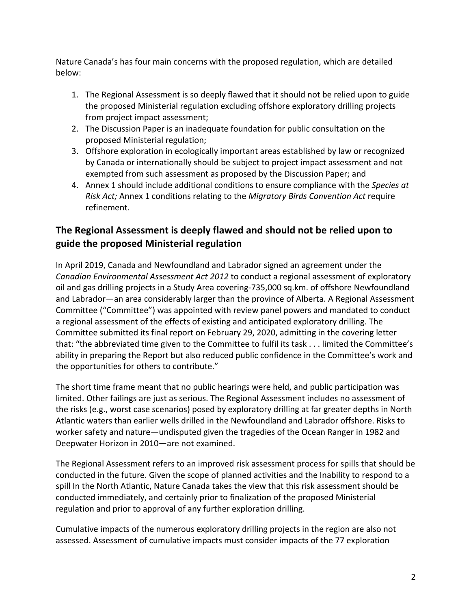Nature Canada's has four main concerns with the proposed regulation, which are detailed below:

- 1. The Regional Assessment is so deeply flawed that it should not be relied upon to guide the proposed Ministerial regulation excluding offshore exploratory drilling projects from project impact assessment;
- 2. The Discussion Paper is an inadequate foundation for public consultation on the proposed Ministerial regulation;
- 3. Offshore exploration in ecologically important areas established by law or recognized by Canada or internationally should be subject to project impact assessment and not exempted from such assessment as proposed by the Discussion Paper; and
- 4. Annex 1 should include additional conditions to ensure compliance with the *Species at Risk Act;* Annex 1 conditions relating to the *Migratory Birds Convention Act* require refinement.

# **The Regional Assessment is deeply flawed and should not be relied upon to guide the proposed Ministerial regulation**

In April 2019, Canada and Newfoundland and Labrador signed an agreement under the *Canadian Environmental Assessment Act 2012* to conduct a regional assessment of exploratory oil and gas drilling projects in a Study Area covering-735,000 sq.km. of offshore Newfoundland and Labrador—an area considerably larger than the province of Alberta. A Regional Assessment Committee ("Committee") was appointed with review panel powers and mandated to conduct a regional assessment of the effects of existing and anticipated exploratory drilling. The Committee submitted its final report on February 29, 2020, admitting in the covering letter that: "the abbreviated time given to the Committee to fulfil its task . . . limited the Committee's ability in preparing the Report but also reduced public confidence in the Committee's work and the opportunities for others to contribute."

The short time frame meant that no public hearings were held, and public participation was limited. Other failings are just as serious. The Regional Assessment includes no assessment of the risks (e.g., worst case scenarios) posed by exploratory drilling at far greater depths in North Atlantic waters than earlier wells drilled in the Newfoundland and Labrador offshore. Risks to worker safety and nature—undisputed given the tragedies of the Ocean Ranger in 1982 and Deepwater Horizon in 2010—are not examined.

The Regional Assessment refers to an improved risk assessment process for spills that should be conducted in the future. Given the scope of planned activities and the Inability to respond to a spill In the North Atlantic, Nature Canada takes the view that this risk assessment should be conducted immediately, and certainly prior to finalization of the proposed Ministerial regulation and prior to approval of any further exploration drilling.

Cumulative impacts of the numerous exploratory drilling projects in the region are also not assessed. Assessment of cumulative impacts must consider impacts of the 77 exploration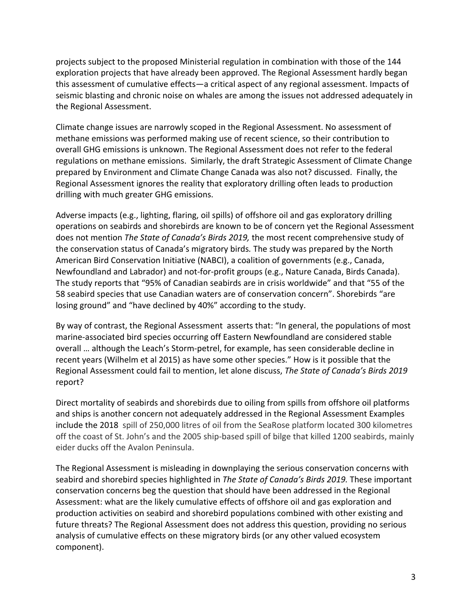projects subject to the proposed Ministerial regulation in combination with those of the 144 exploration projects that have already been approved. The Regional Assessment hardly began this assessment of cumulative effects—a critical aspect of any regional assessment. Impacts of seismic blasting and chronic noise on whales are among the issues not addressed adequately in the Regional Assessment.

Climate change issues are narrowly scoped in the Regional Assessment. No assessment of methane emissions was performed making use of recent science, so their contribution to overall GHG emissions is unknown. The Regional Assessment does not refer to the federal regulations on methane emissions. Similarly, the draft Strategic Assessment of Climate Change prepared by Environment and Climate Change Canada was also not? discussed. Finally, the Regional Assessment ignores the reality that exploratory drilling often leads to production drilling with much greater GHG emissions.

Adverse impacts (e.g., lighting, flaring, oil spills) of offshore oil and gas exploratory drilling operations on seabirds and shorebirds are known to be of concern yet the Regional Assessment does not mention *The State of Canada's Birds 2019,* the most recent comprehensive study of the conservation status of Canada's migratory birds*.* The study was prepared by the North American Bird Conservation Initiative (NABCI), a coalition of governments (e.g., Canada, Newfoundland and Labrador) and not-for-profit groups (e.g., Nature Canada, Birds Canada). The study reports that "95% of Canadian seabirds are in crisis worldwide" and that "55 of the 58 seabird species that use Canadian waters are of conservation concern". Shorebirds "are losing ground" and "have declined by 40%" according to the study.

By way of contrast, the Regional Assessment asserts that: "In general, the populations of most marine-associated bird species occurring off Eastern Newfoundland are considered stable overall … although the Leach's Storm-petrel, for example, has seen considerable decline in recent years (Wilhelm et al 2015) as have some other species." How is it possible that the Regional Assessment could fail to mention, let alone discuss, *The State of Canada's Birds 2019*  report?

Direct mortality of seabirds and shorebirds due to oiling from spills from offshore oil platforms and ships is another concern not adequately addressed in the Regional Assessment Examples include the 2018 spill of 250,000 litres of oil from the SeaRose platform located 300 kilometres off the coast of St. John's and the 2005 ship-based spill of bilge that killed 1200 seabirds, mainly eider ducks off the Avalon Peninsula.

The Regional Assessment is misleading in downplaying the serious conservation concerns with seabird and shorebird species highlighted in *The State of Canada's Birds 2019.* These important conservation concerns beg the question that should have been addressed in the Regional Assessment: what are the likely cumulative effects of offshore oil and gas exploration and production activities on seabird and shorebird populations combined with other existing and future threats? The Regional Assessment does not address this question, providing no serious analysis of cumulative effects on these migratory birds (or any other valued ecosystem component).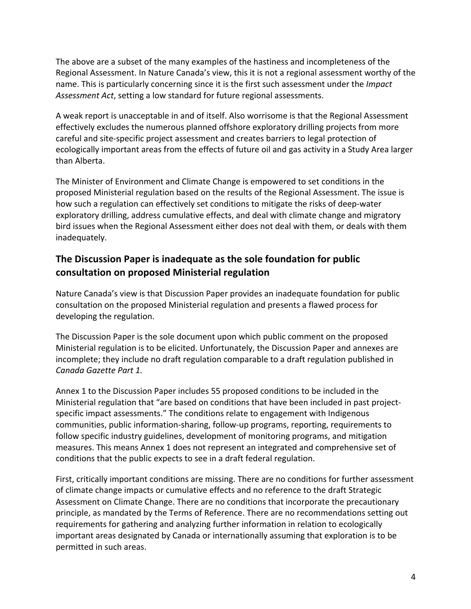The above are a subset of the many examples of the hastiness and incompleteness of the Regional Assessment. In Nature Canada's view, this it is not a regional assessment worthy of the name. This is particularly concerning since it is the first such assessment under the *Impact Assessment Act*, setting a low standard for future regional assessments.

A weak report is unacceptable in and of itself. Also worrisome is that the Regional Assessment effectively excludes the numerous planned offshore exploratory drilling projects from more careful and site-specific project assessment and creates barriers to legal protection of ecologically important areas from the effects of future oil and gas activity in a Study Area larger than Alberta.

The Minister of Environment and Climate Change is empowered to set conditions in the proposed Ministerial regulation based on the results of the Regional Assessment. The issue is how such a regulation can effectively set conditions to mitigate the risks of deep-water exploratory drilling, address cumulative effects, and deal with climate change and migratory bird issues when the Regional Assessment either does not deal with them, or deals with them inadequately.

# **The Discussion Paper is inadequate as the sole foundation for public consultation on proposed Ministerial regulation**

Nature Canada's view is that Discussion Paper provides an inadequate foundation for public consultation on the proposed Ministerial regulation and presents a flawed process for developing the regulation.

The Discussion Paper is the sole document upon which public comment on the proposed Ministerial regulation is to be elicited. Unfortunately, the Discussion Paper and annexes are incomplete; they include no draft regulation comparable to a draft regulation published in *Canada Gazette Part 1.*

Annex 1 to the Discussion Paper includes 55 proposed conditions to be included in the Ministerial regulation that "are based on conditions that have been included in past projectspecific impact assessments." The conditions relate to engagement with Indigenous communities, public information-sharing, follow-up programs, reporting, requirements to follow specific industry guidelines, development of monitoring programs, and mitigation measures. This means Annex 1 does not represent an integrated and comprehensive set of conditions that the public expects to see in a draft federal regulation.

First, critically important conditions are missing. There are no conditions for further assessment of climate change impacts or cumulative effects and no reference to the draft Strategic Assessment on Climate Change. There are no conditions that incorporate the precautionary principle, as mandated by the Terms of Reference. There are no recommendations setting out requirements for gathering and analyzing further information in relation to ecologically important areas designated by Canada or internationally assuming that exploration is to be permitted in such areas.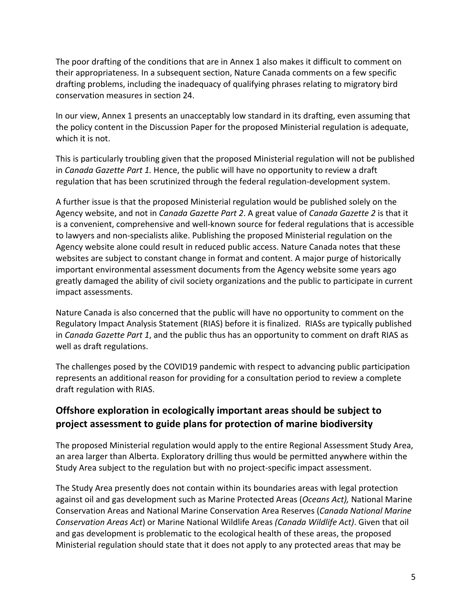The poor drafting of the conditions that are in Annex 1 also makes it difficult to comment on their appropriateness. In a subsequent section, Nature Canada comments on a few specific drafting problems, including the inadequacy of qualifying phrases relating to migratory bird conservation measures in section 24.

In our view, Annex 1 presents an unacceptably low standard in its drafting, even assuming that the policy content in the Discussion Paper for the proposed Ministerial regulation is adequate, which it is not.

This is particularly troubling given that the proposed Ministerial regulation will not be published in *Canada Gazette Part 1.* Hence, the public will have no opportunity to review a draft regulation that has been scrutinized through the federal regulation-development system.

A further issue is that the proposed Ministerial regulation would be published solely on the Agency website, and not in *Canada Gazette Part 2*. A great value of *Canada Gazette 2* is that it is a convenient, comprehensive and well-known source for federal regulations that is accessible to lawyers and non-specialists alike. Publishing the proposed Ministerial regulation on the Agency website alone could result in reduced public access. Nature Canada notes that these websites are subject to constant change in format and content. A major purge of historically important environmental assessment documents from the Agency website some years ago greatly damaged the ability of civil society organizations and the public to participate in current impact assessments.

Nature Canada is also concerned that the public will have no opportunity to comment on the Regulatory Impact Analysis Statement (RIAS) before it is finalized. RIASs are typically published in *Canada Gazette Part 1*, and the public thus has an opportunity to comment on draft RIAS as well as draft regulations.

The challenges posed by the COVID19 pandemic with respect to advancing public participation represents an additional reason for providing for a consultation period to review a complete draft regulation with RIAS.

## **Offshore exploration in ecologically important areas should be subject to project assessment to guide plans for protection of marine biodiversity**

The proposed Ministerial regulation would apply to the entire Regional Assessment Study Area, an area larger than Alberta. Exploratory drilling thus would be permitted anywhere within the Study Area subject to the regulation but with no project-specific impact assessment.

The Study Area presently does not contain within its boundaries areas with legal protection against oil and gas development such as Marine Protected Areas (*Oceans Act),* National Marine Conservation Areas and National Marine Conservation Area Reserves (*Canada National Marine Conservation Areas Act*) or Marine National Wildlife Areas *(Canada Wildlife Act)*. Given that oil and gas development is problematic to the ecological health of these areas, the proposed Ministerial regulation should state that it does not apply to any protected areas that may be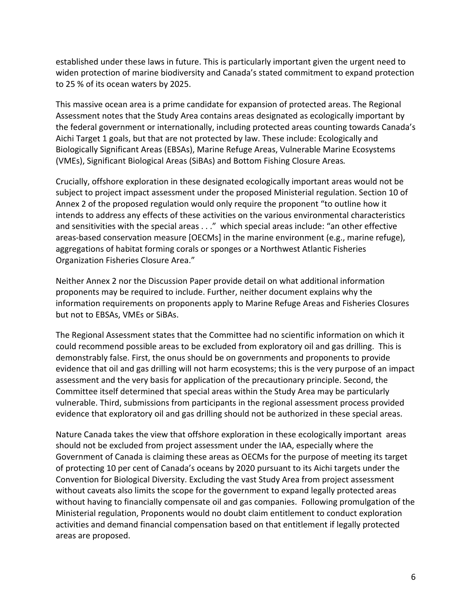established under these laws in future. This is particularly important given the urgent need to widen protection of marine biodiversity and Canada's stated commitment to expand protection to 25 % of its ocean waters by 2025.

This massive ocean area is a prime candidate for expansion of protected areas. The Regional Assessment notes that the Study Area contains areas designated as ecologically important by the federal government or internationally, including protected areas counting towards Canada's Aichi Target 1 goals, but that are not protected by law. These include: Ecologically and Biologically Significant Areas (EBSAs), Marine Refuge Areas, Vulnerable Marine Ecosystems (VMEs), Significant Biological Areas (SiBAs) and Bottom Fishing Closure Areas*.*

Crucially, offshore exploration in these designated ecologically important areas would not be subject to project impact assessment under the proposed Ministerial regulation. Section 10 of Annex 2 of the proposed regulation would only require the proponent "to outline how it intends to address any effects of these activities on the various environmental characteristics and sensitivities with the special areas . . ." which special areas include: "an other effective areas-based conservation measure [OECMs] in the marine environment (e.g., marine refuge), aggregations of habitat forming corals or sponges or a Northwest Atlantic Fisheries Organization Fisheries Closure Area."

Neither Annex 2 nor the Discussion Paper provide detail on what additional information proponents may be required to include. Further, neither document explains why the information requirements on proponents apply to Marine Refuge Areas and Fisheries Closures but not to EBSAs, VMEs or SiBAs.

The Regional Assessment states that the Committee had no scientific information on which it could recommend possible areas to be excluded from exploratory oil and gas drilling. This is demonstrably false. First, the onus should be on governments and proponents to provide evidence that oil and gas drilling will not harm ecosystems; this is the very purpose of an impact assessment and the very basis for application of the precautionary principle. Second, the Committee itself determined that special areas within the Study Area may be particularly vulnerable. Third, submissions from participants in the regional assessment process provided evidence that exploratory oil and gas drilling should not be authorized in these special areas.

Nature Canada takes the view that offshore exploration in these ecologically important areas should not be excluded from project assessment under the IAA, especially where the Government of Canada is claiming these areas as OECMs for the purpose of meeting its target of protecting 10 per cent of Canada's oceans by 2020 pursuant to its Aichi targets under the Convention for Biological Diversity. Excluding the vast Study Area from project assessment without caveats also limits the scope for the government to expand legally protected areas without having to financially compensate oil and gas companies. Following promulgation of the Ministerial regulation, Proponents would no doubt claim entitlement to conduct exploration activities and demand financial compensation based on that entitlement if legally protected areas are proposed.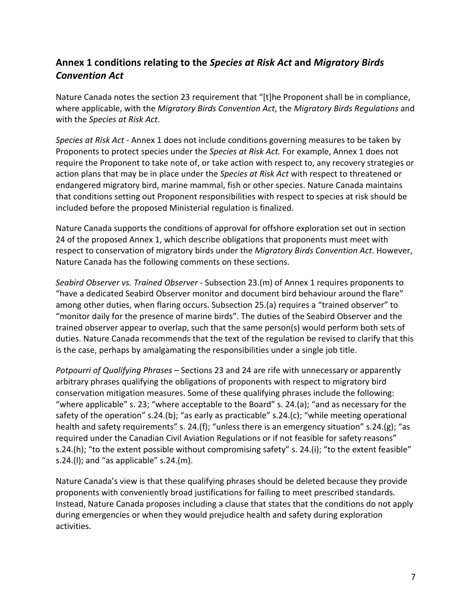# **Annex 1 conditions relating to the** *Species at Risk Act* **and** *Migratory Birds Convention Act*

Nature Canada notes the section 23 requirement that "[t]he Proponent shall be in compliance, where applicable, with the *Migratory Birds Convention Act*, the *Migratory Birds Regulations* and with the *Species at Risk Act*.

*Species at Risk Act -* Annex 1 does not include conditions governing measures to be taken by Proponents to protect species under the *Species at Risk Act.* For example, Annex 1 does not require the Proponent to take note of, or take action with respect to, any recovery strategies or action plans that may be in place under the *Species at Risk Act* with respect to threatened or endangered migratory bird, marine mammal, fish or other species. Nature Canada maintains that conditions setting out Proponent responsibilities with respect to species at risk should be included before the proposed Ministerial regulation is finalized.

Nature Canada supports the conditions of approval for offshore exploration set out in section 24 of the proposed Annex 1, which describe obligations that proponents must meet with respect to conservation of migratory birds under the *Migratory Birds Convention Act*. However, Nature Canada has the following comments on these sections.

*Seabird Observer vs. Trained Observer -* Subsection 23.(m) of Annex 1 requires proponents to "have a dedicated Seabird Observer monitor and document bird behaviour around the flare" among other duties, when flaring occurs. Subsection 25.(a) requires a "trained observer" to "monitor daily for the presence of marine birds". The duties of the Seabird Observer and the trained observer appear to overlap, such that the same person(s) would perform both sets of duties. Nature Canada recommends that the text of the regulation be revised to clarify that this is the case, perhaps by amalgamating the responsibilities under a single job title.

*Potpourri of Qualifying Phrases* – Sections 23 and 24 are rife with unnecessary or apparently arbitrary phrases qualifying the obligations of proponents with respect to migratory bird conservation mitigation measures. Some of these qualifying phrases include the following: "where applicable" s. 23; "where acceptable to the Board" s. 24.(a); "and as necessary for the safety of the operation" s.24.(b); "as early as practicable" s.24.(c); "while meeting operational health and safety requirements" s. 24.(f); "unless there is an emergency situation" s.24.(g); "as required under the Canadian Civil Aviation Regulations or if not feasible for safety reasons" s.24.(h); "to the extent possible without compromising safety" s. 24.(i); "to the extent feasible" s.24.(I); and "as applicable" s.24.(m).

Nature Canada's view is that these qualifying phrases should be deleted because they provide proponents with conveniently broad justifications for failing to meet prescribed standards. Instead, Nature Canada proposes including a clause that states that the conditions do not apply during emergencies or when they would prejudice health and safety during exploration activities.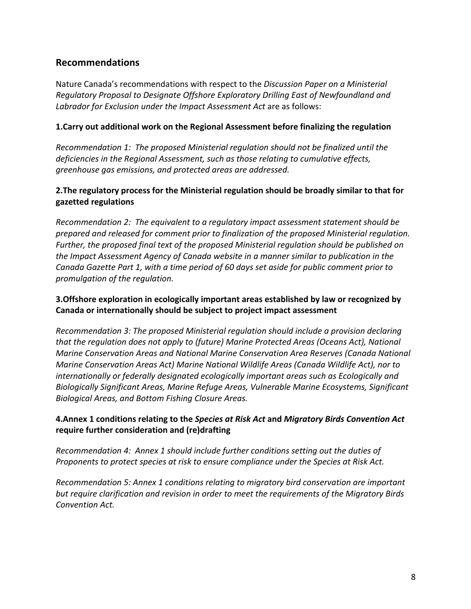## **Recommendations**

Nature Canada's recommendations with respect to the *Discussion Paper on a Ministerial Regulatory Proposal to Designate Offshore Exploratory Drilling East of Newfoundland and Labrador for Exclusion under the Impact Assessment Act* are as follows:

#### **1.Carry out additional work on the Regional Assessment before finalizing the regulation**

*Recommendation 1: The proposed Ministerial regulation should not be finalized until the deficiencies in the Regional Assessment, such as those relating to cumulative effects, greenhouse gas emissions, and protected areas are addressed.*

### **2.The regulatory process for the Ministerial regulation should be broadly similar to that for gazetted regulations**

*Recommendation 2: The equivalent to a regulatory impact assessment statement should be prepared and released for comment prior to finalization of the proposed Ministerial regulation. Further, the proposed final text of the proposed Ministerial regulation should be published on the Impact Assessment Agency of Canada website in a manner similar to publication in the Canada Gazette Part 1, with a time period of 60 days set aside for public comment prior to promulgation of the regulation.*

#### **3.Offshore exploration in ecologically important areas established by law or recognized by Canada or internationally should be subject to project impact assessment**

*Recommendation 3: The proposed Ministerial regulation should include a provision declaring that the regulation does not apply to (future) Marine Protected Areas (Oceans Act), National Marine Conservation Areas and National Marine Conservation Area Reserves (Canada National Marine Conservation Areas Act) Marine National Wildlife Areas (Canada Wildlife Act), nor to internationally or federally designated ecologically important areas such as Ecologically and Biologically Significant Areas, Marine Refuge Areas, Vulnerable Marine Ecosystems, Significant Biological Areas, and Bottom Fishing Closure Areas.*

### **4.Annex 1 conditions relating to the** *Species at Risk Act* **and** *Migratory Birds Convention Act* **require further consideration and (re)drafting**

*Recommendation 4: Annex 1 should include further conditions setting out the duties of Proponents to protect species at risk to ensure compliance under the Species at Risk Act.*

*Recommendation 5: Annex 1 conditions relating to migratory bird conservation are important but require clarification and revision in order to meet the requirements of the Migratory Birds Convention Act.*